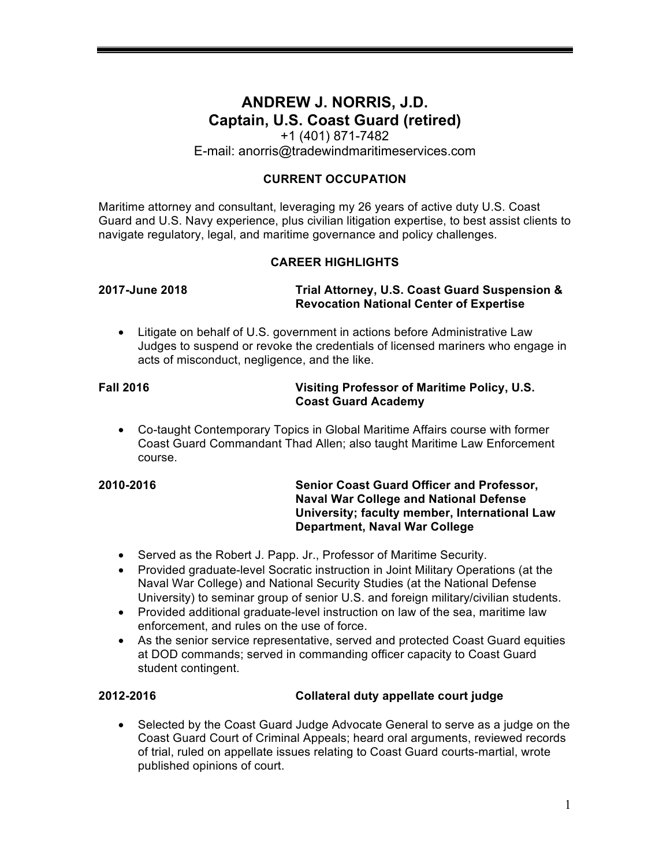# **ANDREW J. NORRIS, J.D. Captain, U.S. Coast Guard (retired)**

+1 (401) 871-7482 E-mail: anorris@tradewindmaritimeservices.com

### **CURRENT OCCUPATION**

Maritime attorney and consultant, leveraging my 26 years of active duty U.S. Coast Guard and U.S. Navy experience, plus civilian litigation expertise, to best assist clients to navigate regulatory, legal, and maritime governance and policy challenges.

### **CAREER HIGHLIGHTS**

### **2017-June 2018 Trial Attorney, U.S. Coast Guard Suspension & Revocation National Center of Expertise**

• Litigate on behalf of U.S. government in actions before Administrative Law Judges to suspend or revoke the credentials of licensed mariners who engage in acts of misconduct, negligence, and the like.

### **Fall 2016 Visiting Professor of Maritime Policy, U.S. Coast Guard Academy**

• Co-taught Contemporary Topics in Global Maritime Affairs course with former Coast Guard Commandant Thad Allen; also taught Maritime Law Enforcement course.

### **2010-2016 Senior Coast Guard Officer and Professor, Naval War College and National Defense University; faculty member, International Law Department, Naval War College**

- Served as the Robert J. Papp. Jr., Professor of Maritime Security.
- Provided graduate-level Socratic instruction in Joint Military Operations (at the Naval War College) and National Security Studies (at the National Defense University) to seminar group of senior U.S. and foreign military/civilian students.
- Provided additional graduate-level instruction on law of the sea, maritime law enforcement, and rules on the use of force.
- As the senior service representative, served and protected Coast Guard equities at DOD commands; served in commanding officer capacity to Coast Guard student contingent.

### **2012-2016 Collateral duty appellate court judge**

• Selected by the Coast Guard Judge Advocate General to serve as a judge on the Coast Guard Court of Criminal Appeals; heard oral arguments, reviewed records of trial, ruled on appellate issues relating to Coast Guard courts-martial, wrote published opinions of court.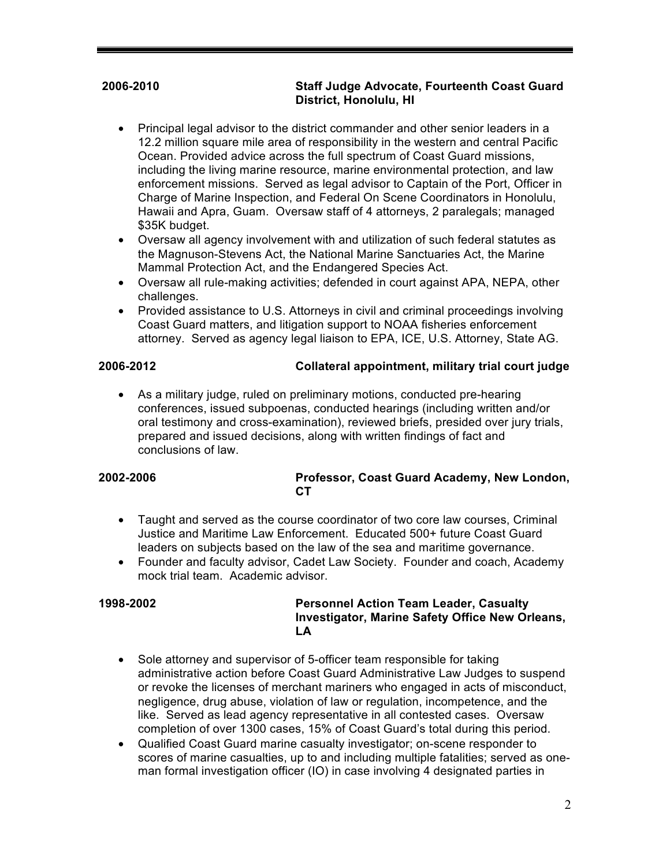### **2006-2010 Staff Judge Advocate, Fourteenth Coast Guard District, Honolulu, HI**

- Principal legal advisor to the district commander and other senior leaders in a 12.2 million square mile area of responsibility in the western and central Pacific Ocean. Provided advice across the full spectrum of Coast Guard missions, including the living marine resource, marine environmental protection, and law enforcement missions. Served as legal advisor to Captain of the Port, Officer in Charge of Marine Inspection, and Federal On Scene Coordinators in Honolulu, Hawaii and Apra, Guam. Oversaw staff of 4 attorneys, 2 paralegals; managed \$35K budget.
- Oversaw all agency involvement with and utilization of such federal statutes as the Magnuson-Stevens Act, the National Marine Sanctuaries Act, the Marine Mammal Protection Act, and the Endangered Species Act.
- Oversaw all rule-making activities; defended in court against APA, NEPA, other challenges.
- Provided assistance to U.S. Attorneys in civil and criminal proceedings involving Coast Guard matters, and litigation support to NOAA fisheries enforcement attorney. Served as agency legal liaison to EPA, ICE, U.S. Attorney, State AG.

### **2006-2012 Collateral appointment, military trial court judge**

• As a military judge, ruled on preliminary motions, conducted pre-hearing conferences, issued subpoenas, conducted hearings (including written and/or oral testimony and cross-examination), reviewed briefs, presided over jury trials, prepared and issued decisions, along with written findings of fact and conclusions of law.

### **2002-2006 Professor, Coast Guard Academy, New London, CT**

- Taught and served as the course coordinator of two core law courses, Criminal Justice and Maritime Law Enforcement. Educated 500+ future Coast Guard leaders on subjects based on the law of the sea and maritime governance.
- Founder and faculty advisor, Cadet Law Society. Founder and coach, Academy mock trial team. Academic advisor

### **1998-2002 Personnel Action Team Leader, Casualty Investigator, Marine Safety Office New Orleans, LA**

- Sole attorney and supervisor of 5-officer team responsible for taking administrative action before Coast Guard Administrative Law Judges to suspend or revoke the licenses of merchant mariners who engaged in acts of misconduct, negligence, drug abuse, violation of law or regulation, incompetence, and the like. Served as lead agency representative in all contested cases. Oversaw completion of over 1300 cases, 15% of Coast Guard's total during this period.
- Qualified Coast Guard marine casualty investigator; on-scene responder to scores of marine casualties, up to and including multiple fatalities; served as oneman formal investigation officer (IO) in case involving 4 designated parties in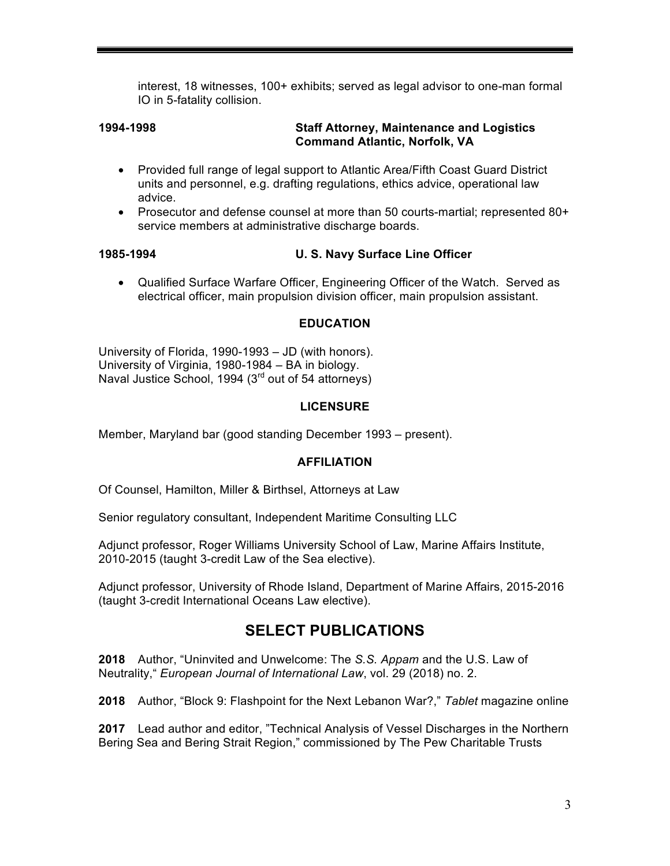interest, 18 witnesses, 100+ exhibits; served as legal advisor to one-man formal IO in 5-fatality collision.

### **1994-1998 Staff Attorney, Maintenance and Logistics Command Atlantic, Norfolk, VA**

- Provided full range of legal support to Atlantic Area/Fifth Coast Guard District units and personnel, e.g. drafting regulations, ethics advice, operational law advice.
- Prosecutor and defense counsel at more than 50 courts-martial; represented 80+ service members at administrative discharge boards.

### **1985-1994 U. S. Navy Surface Line Officer**

• Qualified Surface Warfare Officer, Engineering Officer of the Watch. Served as electrical officer, main propulsion division officer, main propulsion assistant.

### **EDUCATION**

University of Florida, 1990-1993 – JD (with honors). University of Virginia, 1980-1984 – BA in biology. Naval Justice School, 1994 (3<sup>rd</sup> out of 54 attorneys)

### **LICENSURE**

Member, Maryland bar (good standing December 1993 – present).

### **AFFILIATION**

Of Counsel, Hamilton, Miller & Birthsel, Attorneys at Law

Senior regulatory consultant, Independent Maritime Consulting LLC

Adjunct professor, Roger Williams University School of Law, Marine Affairs Institute, 2010-2015 (taught 3-credit Law of the Sea elective).

Adjunct professor, University of Rhode Island, Department of Marine Affairs, 2015-2016 (taught 3-credit International Oceans Law elective).

## **SELECT PUBLICATIONS**

**2018** Author, "Uninvited and Unwelcome: The *S.S. Appam* and the U.S. Law of Neutrality," *European Journal of International Law*, vol. 29 (2018) no. 2.

**2018** Author, "Block 9: Flashpoint for the Next Lebanon War?," *Tablet* magazine online

**2017** Lead author and editor, "Technical Analysis of Vessel Discharges in the Northern Bering Sea and Bering Strait Region," commissioned by The Pew Charitable Trusts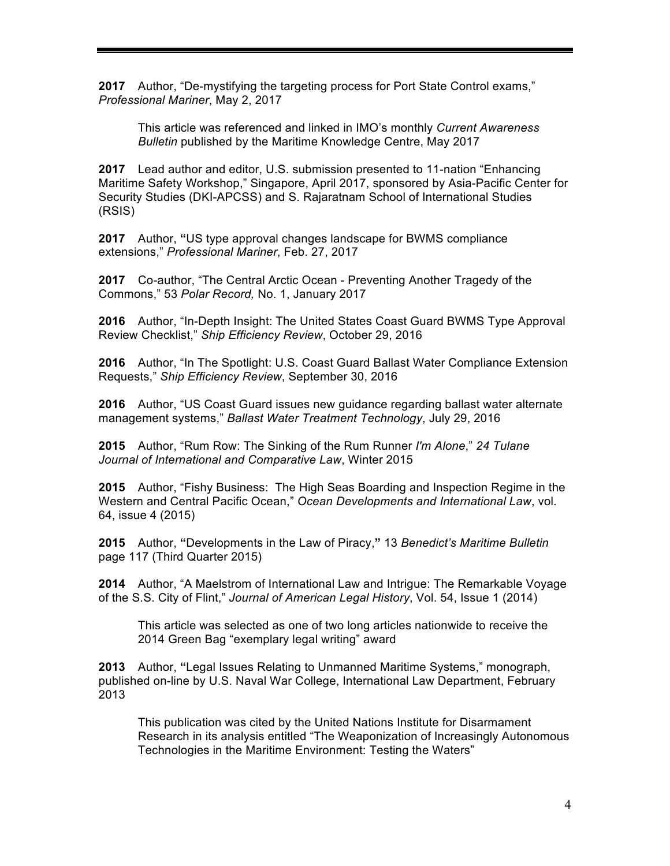**2017** Author, "De-mystifying the targeting process for Port State Control exams," *Professional Mariner*, May 2, 2017

This article was referenced and linked in IMO's monthly *Current Awareness Bulletin* published by the Maritime Knowledge Centre, May 2017

**2017** Lead author and editor, U.S. submission presented to 11-nation "Enhancing Maritime Safety Workshop," Singapore, April 2017, sponsored by Asia-Pacific Center for Security Studies (DKI-APCSS) and S. Rajaratnam School of International Studies (RSIS)

**2017** Author, **"**US type approval changes landscape for BWMS compliance extensions," *Professional Mariner*, Feb. 27, 2017

**2017** Co-author, "The Central Arctic Ocean - Preventing Another Tragedy of the Commons," 53 *Polar Record,* No. 1, January 2017

**2016** Author, "In-Depth Insight: The United States Coast Guard BWMS Type Approval Review Checklist," *Ship Efficiency Review*, October 29, 2016

**2016** Author, "In The Spotlight: U.S. Coast Guard Ballast Water Compliance Extension Requests," *Ship Efficiency Review*, September 30, 2016

**2016** Author, "US Coast Guard issues new guidance regarding ballast water alternate management systems," *Ballast Water Treatment Technology*, July 29, 2016

**2015** Author, "Rum Row: The Sinking of the Rum Runner *I'm Alone*," *24 Tulane Journal of International and Comparative Law*, Winter 2015

**2015** Author, "Fishy Business: The High Seas Boarding and Inspection Regime in the Western and Central Pacific Ocean," *Ocean Developments and International Law*, vol. 64, issue 4 (2015)

**2015** Author, **"**Developments in the Law of Piracy,**"** 13 *Benedict's Maritime Bulletin* page 117 (Third Quarter 2015)

**2014** Author, "A Maelstrom of International Law and Intrigue: The Remarkable Voyage of the S.S. City of Flint," *Journal of American Legal History*, Vol. 54, Issue 1 (2014)

This article was selected as one of two long articles nationwide to receive the 2014 Green Bag "exemplary legal writing" award

**2013** Author, **"**Legal Issues Relating to Unmanned Maritime Systems," monograph, published on-line by U.S. Naval War College, International Law Department, February 2013

This publication was cited by the United Nations Institute for Disarmament Research in its analysis entitled "The Weaponization of Increasingly Autonomous Technologies in the Maritime Environment: Testing the Waters"